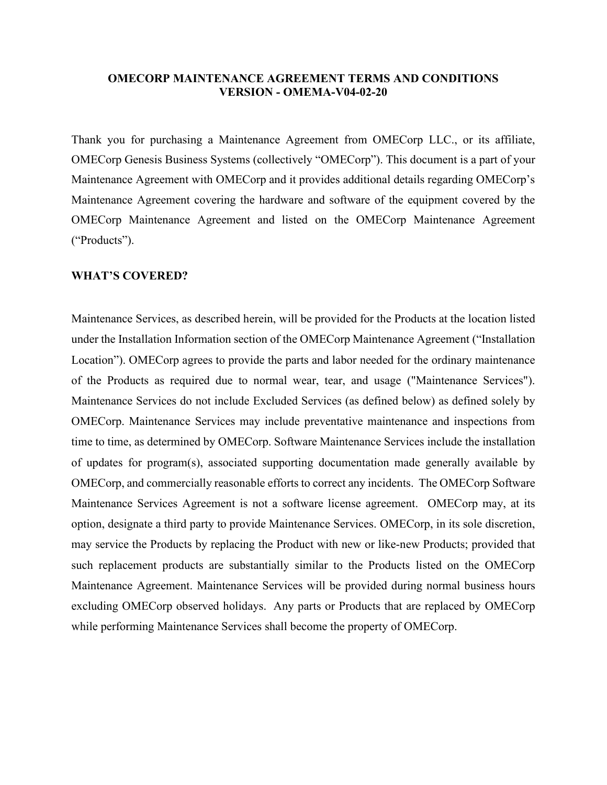## **OMECORP MAINTENANCE AGREEMENT TERMS AND CONDITIONS VERSION - OMEMA-V04-02-20**

Thank you for purchasing a Maintenance Agreement from OMECorp LLC., or its affiliate, OMECorp Genesis Business Systems (collectively "OMECorp"). This document is a part of your Maintenance Agreement with OMECorp and it provides additional details regarding OMECorp's Maintenance Agreement covering the hardware and software of the equipment covered by the OMECorp Maintenance Agreement and listed on the OMECorp Maintenance Agreement ("Products").

### **WHAT'S COVERED?**

Maintenance Services, as described herein, will be provided for the Products at the location listed under the Installation Information section of the OMECorp Maintenance Agreement ("Installation Location"). OMECorp agrees to provide the parts and labor needed for the ordinary maintenance of the Products as required due to normal wear, tear, and usage ("Maintenance Services"). Maintenance Services do not include Excluded Services (as defined below) as defined solely by OMECorp. Maintenance Services may include preventative maintenance and inspections from time to time, as determined by OMECorp. Software Maintenance Services include the installation of updates for program(s), associated supporting documentation made generally available by OMECorp, and commercially reasonable efforts to correct any incidents. The OMECorp Software Maintenance Services Agreement is not a software license agreement. OMECorp may, at its option, designate a third party to provide Maintenance Services. OMECorp, in its sole discretion, may service the Products by replacing the Product with new or like-new Products; provided that such replacement products are substantially similar to the Products listed on the OMECorp Maintenance Agreement. Maintenance Services will be provided during normal business hours excluding OMECorp observed holidays. Any parts or Products that are replaced by OMECorp while performing Maintenance Services shall become the property of OMECorp.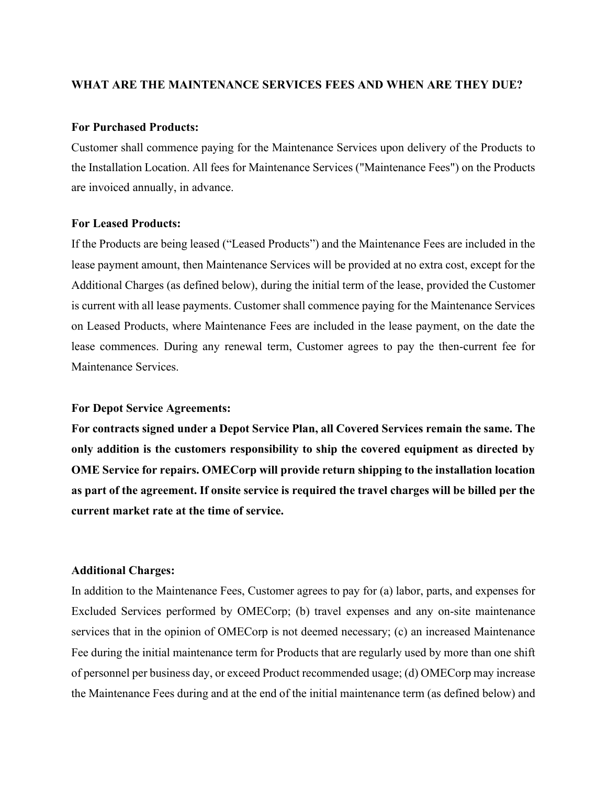### **WHAT ARE THE MAINTENANCE SERVICES FEES AND WHEN ARE THEY DUE?**

# **For Purchased Products:**

Customer shall commence paying for the Maintenance Services upon delivery of the Products to the Installation Location. All fees for Maintenance Services ("Maintenance Fees") on the Products are invoiced annually, in advance.

## **For Leased Products:**

If the Products are being leased ("Leased Products") and the Maintenance Fees are included in the lease payment amount, then Maintenance Services will be provided at no extra cost, except for the Additional Charges (as defined below), during the initial term of the lease, provided the Customer is current with all lease payments. Customer shall commence paying for the Maintenance Services on Leased Products, where Maintenance Fees are included in the lease payment, on the date the lease commences. During any renewal term, Customer agrees to pay the then-current fee for Maintenance Services.

### **For Depot Service Agreements:**

**For contracts signed under a Depot Service Plan, all Covered Services remain the same. The only addition is the customers responsibility to ship the covered equipment as directed by OME Service for repairs. OMECorp will provide return shipping to the installation location as part of the agreement. If onsite service is required the travel charges will be billed per the current market rate at the time of service.** 

#### **Additional Charges:**

In addition to the Maintenance Fees, Customer agrees to pay for (a) labor, parts, and expenses for Excluded Services performed by OMECorp; (b) travel expenses and any on-site maintenance services that in the opinion of OMECorp is not deemed necessary; (c) an increased Maintenance Fee during the initial maintenance term for Products that are regularly used by more than one shift of personnel per business day, or exceed Product recommended usage; (d) OMECorp may increase the Maintenance Fees during and at the end of the initial maintenance term (as defined below) and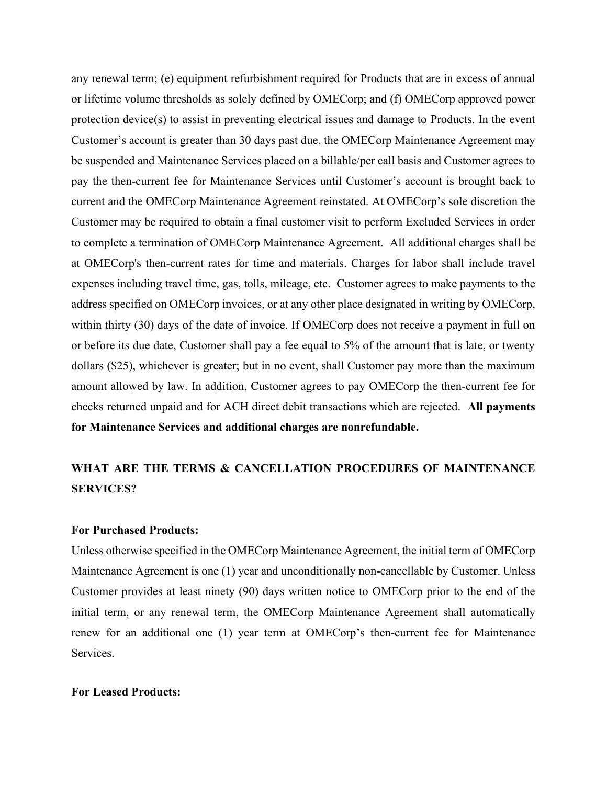any renewal term; (e) equipment refurbishment required for Products that are in excess of annual or lifetime volume thresholds as solely defined by OMECorp; and (f) OMECorp approved power protection device(s) to assist in preventing electrical issues and damage to Products. In the event Customer's account is greater than 30 days past due, the OMECorp Maintenance Agreement may be suspended and Maintenance Services placed on a billable/per call basis and Customer agrees to pay the then-current fee for Maintenance Services until Customer's account is brought back to current and the OMECorp Maintenance Agreement reinstated. At OMECorp's sole discretion the Customer may be required to obtain a final customer visit to perform Excluded Services in order to complete a termination of OMECorp Maintenance Agreement. All additional charges shall be at OMECorp's then-current rates for time and materials. Charges for labor shall include travel expenses including travel time, gas, tolls, mileage, etc. Customer agrees to make payments to the address specified on OMECorp invoices, or at any other place designated in writing by OMECorp, within thirty (30) days of the date of invoice. If OMECorp does not receive a payment in full on or before its due date, Customer shall pay a fee equal to 5% of the amount that is late, or twenty dollars (\$25), whichever is greater; but in no event, shall Customer pay more than the maximum amount allowed by law. In addition, Customer agrees to pay OMECorp the then-current fee for checks returned unpaid and for ACH direct debit transactions which are rejected. **All payments for Maintenance Services and additional charges are nonrefundable.**

# **WHAT ARE THE TERMS & CANCELLATION PROCEDURES OF MAINTENANCE SERVICES?**

# **For Purchased Products:**

Unless otherwise specified in the OMECorp Maintenance Agreement, the initial term of OMECorp Maintenance Agreement is one (1) year and unconditionally non-cancellable by Customer. Unless Customer provides at least ninety (90) days written notice to OMECorp prior to the end of the initial term, or any renewal term, the OMECorp Maintenance Agreement shall automatically renew for an additional one (1) year term at OMECorp's then-current fee for Maintenance Services.

# **For Leased Products:**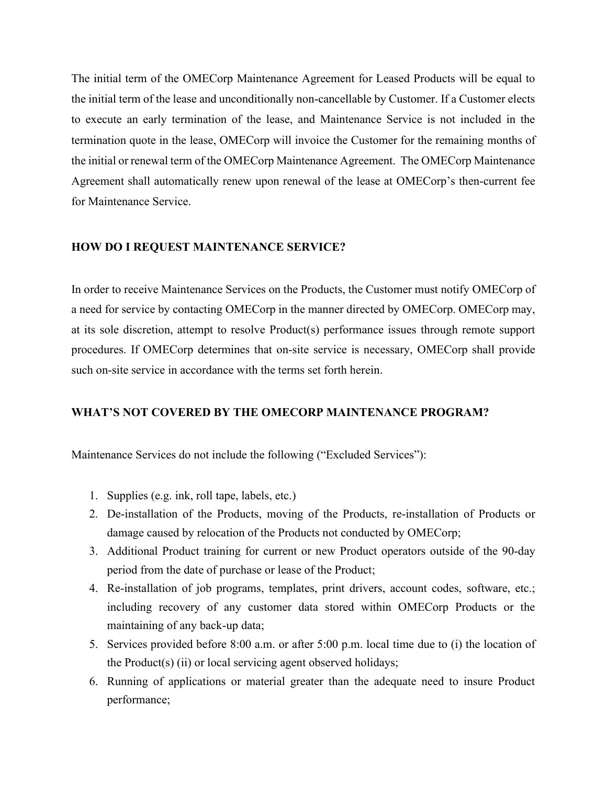The initial term of the OMECorp Maintenance Agreement for Leased Products will be equal to the initial term of the lease and unconditionally non-cancellable by Customer. If a Customer elects to execute an early termination of the lease, and Maintenance Service is not included in the termination quote in the lease, OMECorp will invoice the Customer for the remaining months of the initial or renewal term of the OMECorp Maintenance Agreement. The OMECorp Maintenance Agreement shall automatically renew upon renewal of the lease at OMECorp's then-current fee for Maintenance Service.

# **HOW DO I REQUEST MAINTENANCE SERVICE?**

In order to receive Maintenance Services on the Products, the Customer must notify OMECorp of a need for service by contacting OMECorp in the manner directed by OMECorp. OMECorp may, at its sole discretion, attempt to resolve Product(s) performance issues through remote support procedures. If OMECorp determines that on-site service is necessary, OMECorp shall provide such on-site service in accordance with the terms set forth herein.

# **WHAT'S NOT COVERED BY THE OMECORP MAINTENANCE PROGRAM?**

Maintenance Services do not include the following ("Excluded Services"):

- 1. Supplies (e.g. ink, roll tape, labels, etc.)
- 2. De-installation of the Products, moving of the Products, re-installation of Products or damage caused by relocation of the Products not conducted by OMECorp;
- 3. Additional Product training for current or new Product operators outside of the 90-day period from the date of purchase or lease of the Product;
- 4. Re-installation of job programs, templates, print drivers, account codes, software, etc.; including recovery of any customer data stored within OMECorp Products or the maintaining of any back-up data;
- 5. Services provided before 8:00 a.m. or after 5:00 p.m. local time due to (i) the location of the Product(s) (ii) or local servicing agent observed holidays;
- 6. Running of applications or material greater than the adequate need to insure Product performance;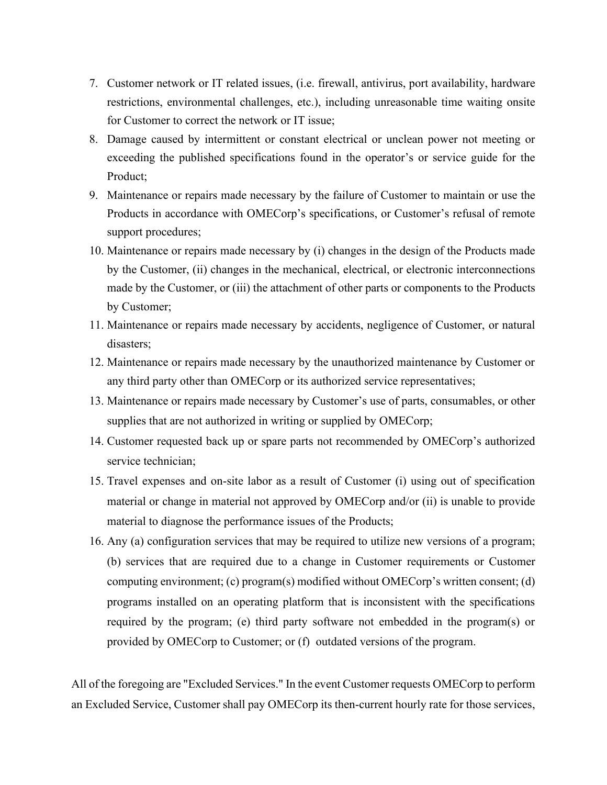- 7. Customer network or IT related issues, (i.e. firewall, antivirus, port availability, hardware restrictions, environmental challenges, etc.), including unreasonable time waiting onsite for Customer to correct the network or IT issue;
- 8. Damage caused by intermittent or constant electrical or unclean power not meeting or exceeding the published specifications found in the operator's or service guide for the Product;
- 9. Maintenance or repairs made necessary by the failure of Customer to maintain or use the Products in accordance with OMECorp's specifications, or Customer's refusal of remote support procedures;
- 10. Maintenance or repairs made necessary by (i) changes in the design of the Products made by the Customer, (ii) changes in the mechanical, electrical, or electronic interconnections made by the Customer, or (iii) the attachment of other parts or components to the Products by Customer;
- 11. Maintenance or repairs made necessary by accidents, negligence of Customer, or natural disasters;
- 12. Maintenance or repairs made necessary by the unauthorized maintenance by Customer or any third party other than OMECorp or its authorized service representatives;
- 13. Maintenance or repairs made necessary by Customer's use of parts, consumables, or other supplies that are not authorized in writing or supplied by OMECorp;
- 14. Customer requested back up or spare parts not recommended by OMECorp's authorized service technician;
- 15. Travel expenses and on-site labor as a result of Customer (i) using out of specification material or change in material not approved by OMECorp and/or (ii) is unable to provide material to diagnose the performance issues of the Products;
- 16. Any (a) configuration services that may be required to utilize new versions of a program; (b) services that are required due to a change in Customer requirements or Customer computing environment; (c) program(s) modified without OMECorp's written consent; (d) programs installed on an operating platform that is inconsistent with the specifications required by the program; (e) third party software not embedded in the program(s) or provided by OMECorp to Customer; or (f) outdated versions of the program.

All of the foregoing are "Excluded Services." In the event Customer requests OMECorp to perform an Excluded Service, Customer shall pay OMECorp its then-current hourly rate for those services,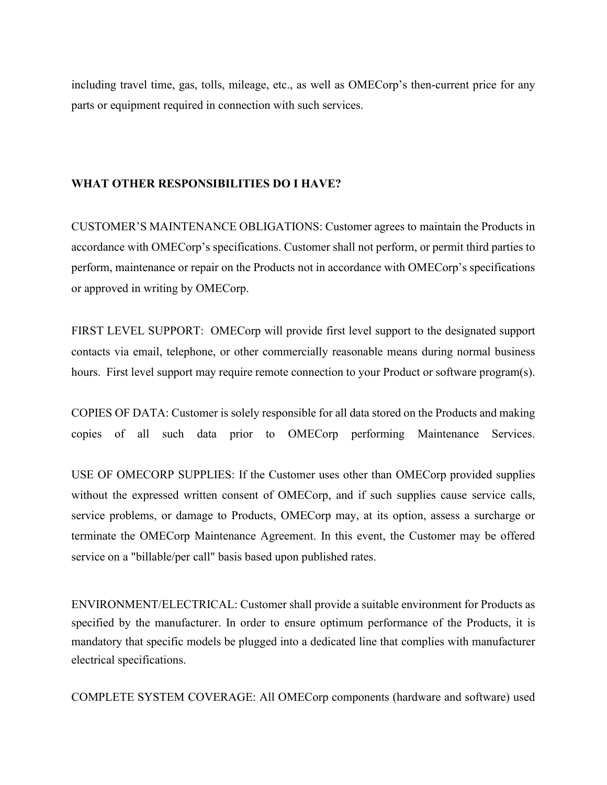including travel time, gas, tolls, mileage, etc., as well as OMECorp's then-current price for any parts or equipment required in connection with such services.

# **WHAT OTHER RESPONSIBILITIES DO I HAVE?**

CUSTOMER'S MAINTENANCE OBLIGATIONS: Customer agrees to maintain the Products in accordance with OMECorp's specifications. Customer shall not perform, or permit third parties to perform, maintenance or repair on the Products not in accordance with OMECorp's specifications or approved in writing by OMECorp.

FIRST LEVEL SUPPORT: OMECorp will provide first level support to the designated support contacts via email, telephone, or other commercially reasonable means during normal business hours. First level support may require remote connection to your Product or software program(s).

COPIES OF DATA: Customer is solely responsible for all data stored on the Products and making copies of all such data prior to OMECorp performing Maintenance Services.

USE OF OMECORP SUPPLIES: If the Customer uses other than OMECorp provided supplies without the expressed written consent of OMECorp, and if such supplies cause service calls, service problems, or damage to Products, OMECorp may, at its option, assess a surcharge or terminate the OMECorp Maintenance Agreement. In this event, the Customer may be offered service on a "billable/per call" basis based upon published rates.

ENVIRONMENT/ELECTRICAL: Customer shall provide a suitable environment for Products as specified by the manufacturer. In order to ensure optimum performance of the Products, it is mandatory that specific models be plugged into a dedicated line that complies with manufacturer electrical specifications.

COMPLETE SYSTEM COVERAGE: All OMECorp components (hardware and software) used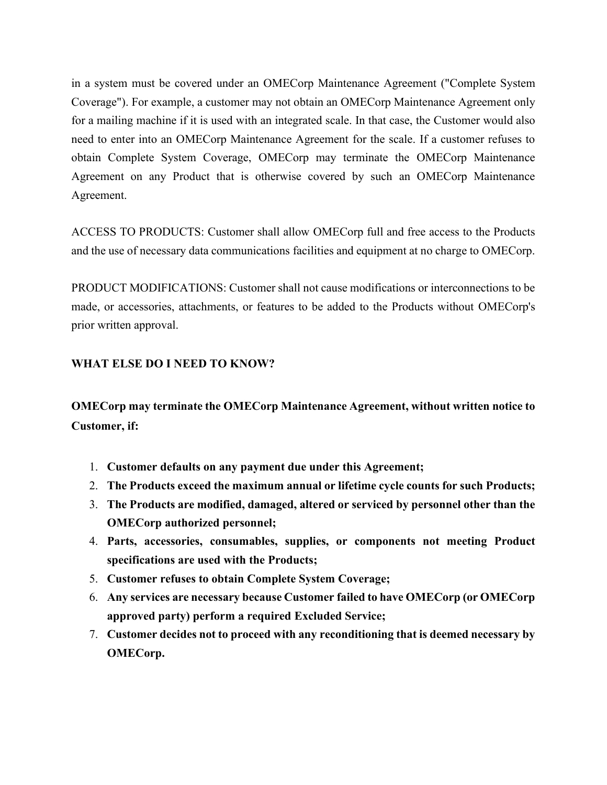in a system must be covered under an OMECorp Maintenance Agreement ("Complete System Coverage"). For example, a customer may not obtain an OMECorp Maintenance Agreement only for a mailing machine if it is used with an integrated scale. In that case, the Customer would also need to enter into an OMECorp Maintenance Agreement for the scale. If a customer refuses to obtain Complete System Coverage, OMECorp may terminate the OMECorp Maintenance Agreement on any Product that is otherwise covered by such an OMECorp Maintenance Agreement.

ACCESS TO PRODUCTS: Customer shall allow OMECorp full and free access to the Products and the use of necessary data communications facilities and equipment at no charge to OMECorp.

PRODUCT MODIFICATIONS: Customer shall not cause modifications or interconnections to be made, or accessories, attachments, or features to be added to the Products without OMECorp's prior written approval.

# **WHAT ELSE DO I NEED TO KNOW?**

**OMECorp may terminate the OMECorp Maintenance Agreement, without written notice to Customer, if:**

- 1. **Customer defaults on any payment due under this Agreement;**
- 2. **The Products exceed the maximum annual or lifetime cycle counts for such Products;**
- 3. **The Products are modified, damaged, altered or serviced by personnel other than the OMECorp authorized personnel;**
- 4. **Parts, accessories, consumables, supplies, or components not meeting Product specifications are used with the Products;**
- 5. **Customer refuses to obtain Complete System Coverage;**
- 6. **Any services are necessary because Customer failed to have OMECorp (or OMECorp approved party) perform a required Excluded Service;**
- 7. **Customer decides not to proceed with any reconditioning that is deemed necessary by OMECorp.**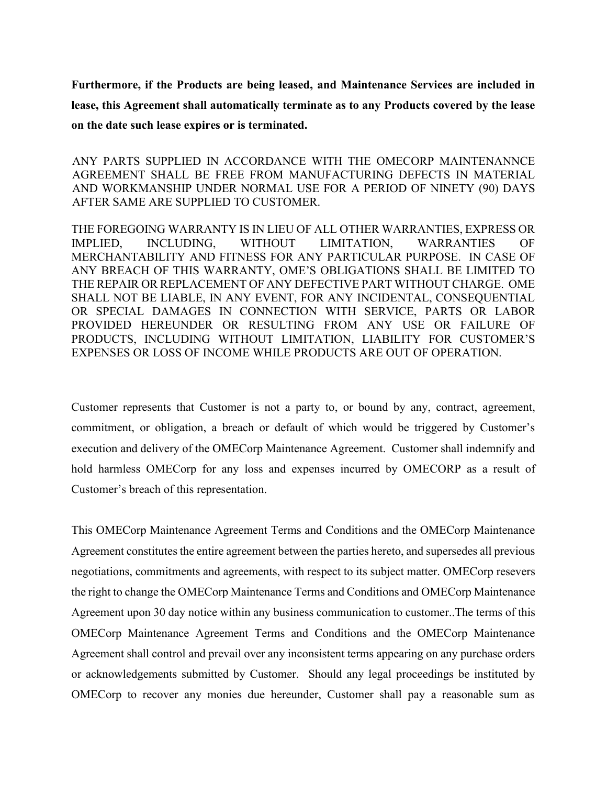**Furthermore, if the Products are being leased, and Maintenance Services are included in lease, this Agreement shall automatically terminate as to any Products covered by the lease on the date such lease expires or is terminated.**

ANY PARTS SUPPLIED IN ACCORDANCE WITH THE OMECORP MAINTENANNCE AGREEMENT SHALL BE FREE FROM MANUFACTURING DEFECTS IN MATERIAL AND WORKMANSHIP UNDER NORMAL USE FOR A PERIOD OF NINETY (90) DAYS AFTER SAME ARE SUPPLIED TO CUSTOMER.

THE FOREGOING WARRANTY IS IN LIEU OF ALL OTHER WARRANTIES, EXPRESS OR IMPLIED, INCLUDING, WITHOUT LIMITATION, WARRANTIES OF MERCHANTABILITY AND FITNESS FOR ANY PARTICULAR PURPOSE. IN CASE OF ANY BREACH OF THIS WARRANTY, OME'S OBLIGATIONS SHALL BE LIMITED TO THE REPAIR OR REPLACEMENT OF ANY DEFECTIVE PART WITHOUT CHARGE. OME SHALL NOT BE LIABLE, IN ANY EVENT, FOR ANY INCIDENTAL, CONSEQUENTIAL OR SPECIAL DAMAGES IN CONNECTION WITH SERVICE, PARTS OR LABOR PROVIDED HEREUNDER OR RESULTING FROM ANY USE OR FAILURE OF PRODUCTS, INCLUDING WITHOUT LIMITATION, LIABILITY FOR CUSTOMER'S EXPENSES OR LOSS OF INCOME WHILE PRODUCTS ARE OUT OF OPERATION.

Customer represents that Customer is not a party to, or bound by any, contract, agreement, commitment, or obligation, a breach or default of which would be triggered by Customer's execution and delivery of the OMECorp Maintenance Agreement. Customer shall indemnify and hold harmless OMECorp for any loss and expenses incurred by OMECORP as a result of Customer's breach of this representation.

This OMECorp Maintenance Agreement Terms and Conditions and the OMECorp Maintenance Agreement constitutes the entire agreement between the parties hereto, and supersedes all previous negotiations, commitments and agreements, with respect to its subject matter. OMECorp resevers the right to change the OMECorp Maintenance Terms and Conditions and OMECorp Maintenance Agreement upon 30 day notice within any business communication to customer..The terms of this OMECorp Maintenance Agreement Terms and Conditions and the OMECorp Maintenance Agreement shall control and prevail over any inconsistent terms appearing on any purchase orders or acknowledgements submitted by Customer. Should any legal proceedings be instituted by OMECorp to recover any monies due hereunder, Customer shall pay a reasonable sum as